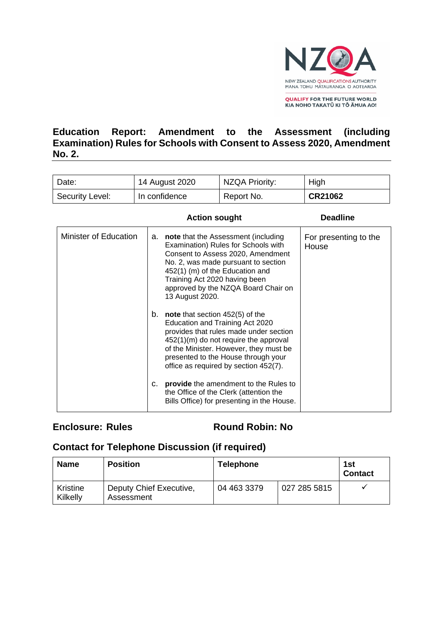

**OUALIFY FOR THE FUTURE WORLD** KIA NOHO TAKATŪ KI TŌ ĀMUA AO!

# **Education Report: Amendment to the Assessment (including Examination) Rules for Schools with Consent to Assess 2020, Amendment No. 2.**

| Date:           | 14 August 2020 | NZQA Priority: | High    |
|-----------------|----------------|----------------|---------|
| Security Level: | In confidence  | Report No.     | CR21062 |

|                       |    | <b>Action sought</b>                                                                                                                                                                                                                                                                        | <b>Deadline</b>                |
|-----------------------|----|---------------------------------------------------------------------------------------------------------------------------------------------------------------------------------------------------------------------------------------------------------------------------------------------|--------------------------------|
| Minister of Education | а. | <b>note</b> that the Assessment (including<br>Examination) Rules for Schools with<br>Consent to Assess 2020, Amendment<br>No. 2, was made pursuant to section<br>452(1) (m) of the Education and<br>Training Act 2020 having been<br>approved by the NZQA Board Chair on<br>13 August 2020. | For presenting to the<br>House |
|                       | b. | note that section $452(5)$ of the<br>Education and Training Act 2020<br>provides that rules made under section<br>$452(1)(m)$ do not require the approval<br>of the Minister. However, they must be<br>presented to the House through your<br>office as required by section 452(7).         |                                |
|                       | c. | provide the amendment to the Rules to<br>the Office of the Clerk (attention the<br>Bills Office) for presenting in the House.                                                                                                                                                               |                                |

## **Enclosure: Rules Round Robin: No**

# **Contact for Telephone Discussion (if required)**

| Name                 | <b>Position</b>                       | Telephone   |              | 1st<br><b>Contact</b> |
|----------------------|---------------------------------------|-------------|--------------|-----------------------|
| Kristine<br>Kilkelly | Deputy Chief Executive,<br>Assessment | 04 463 3379 | 027 285 5815 |                       |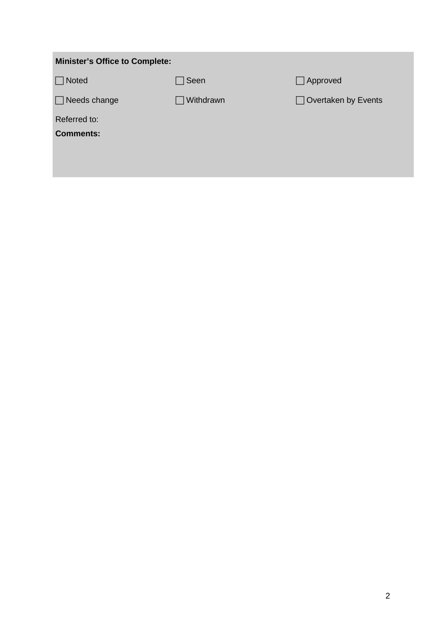| <b>Minister's Office to Complete:</b> |             |                            |  |  |  |
|---------------------------------------|-------------|----------------------------|--|--|--|
| $\Box$ Noted                          | $\Box$ Seen | $\Box$ Approved            |  |  |  |
| $\Box$ Needs change                   | Withdrawn   | $\Box$ Overtaken by Events |  |  |  |
| Referred to:<br><b>Comments:</b>      |             |                            |  |  |  |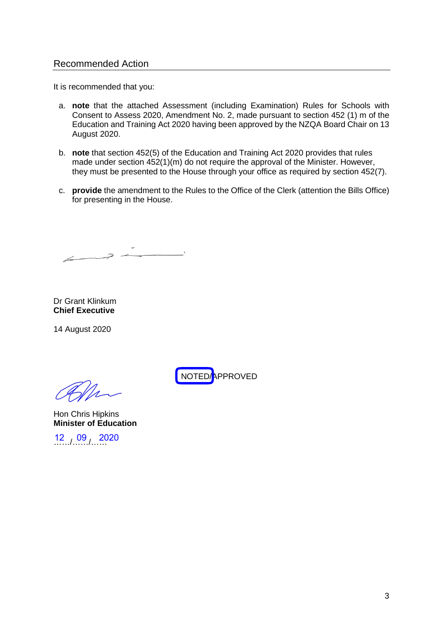#### Recommended Action

It is recommended that you:

- a. **note** that the attached Assessment (including Examination) Rules for Schools with Consent to Assess 2020, Amendment No. 2, made pursuant to section 452 (1) m of the Education and Training Act 2020 having been approved by the NZQA Board Chair on 13 August 2020.
- b. **note** that section 452(5) of the Education and Training Act 2020 provides that rules made under section 452(1)(m) do not require the approval of the Minister. However, they must be presented to the House through your office as required by section 452(7).
- c. **provide** the amendment to the Rules to the Office of the Clerk (attention the Bills Office) for presenting in the House.

 $\overline{z}$ 

Dr Grant Klinkum **Chief Executive** 

14 August 2020

Hon Chris Hipkins **Minister of Education** 

 $12^{12}$  09 2020